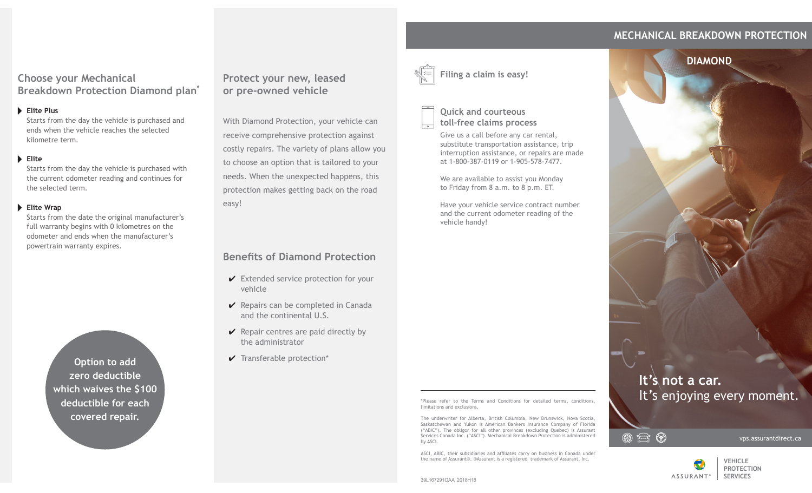## **MECHANICAL BREAKDOWN PROTECTION**

**DIAMOND**

### **Choose your Mechanical Breakdown Protection Diamond plan\***

#### **Elite Plus**

Starts from the day the vehicle is purchased and ends when the vehicle reaches the selected kilometre term.

#### **Elite**

Starts from the day the vehicle is purchased with the current odometer reading and continues for the selected term.

#### **Elite Wrap**

Starts from the date the original manufacturer's full warranty begins with 0 kilometres on the odometer and ends when the manufacturer's powertrain warranty expires.

> **Option to add zero deductible which waives the \$100 deductible for each covered repair.**

## **Protect your new, leased or pre-owned vehicle**

With Diamond Protection, your vehicle can receive comprehensive protection against costly repairs. The variety of plans allow you to choose an option that is tailored to your needs. When the unexpected happens, this protection makes getting back on the road easy!

# **Benefits of Diamond Protection**

- $\checkmark$  Extended service protection for your vehicle
- $\vee$  Repairs can be completed in Canada and the continental U.S.
- $\vee$  Repair centres are paid directly by the administrator
- $\vee$  Transferable protection\*



**Quick and courteous** 

**toll-free claims process**

Give us a call before any car rental, substitute transportation assistance, trip interruption assistance, or repairs are made at 1-800-387-0119 or 1-905-578-7477.

We are available to assist you Monday to Friday from 8 a.m. to 8 p.m. ET.

Have your vehicle service contract number and the current odometer reading of the vehicle handy!

\*Please refer to the Terms and Conditions for detailed terms, conditions, limitations and exclusions.

The underwriter for Alberta, British Columbia, New Brunswick, Nova Scotia, Saskatchewan and Yukon is American Bankers Insurance Company of Florida ("ABIC"). The obligor for all other provinces (excluding Quebec) is Assurant Services Canada Inc. ("ASCI"). Mechanical Breakdown Protection is administered by ASCI.

ASCI, ABIC, their subsidiaries and affiliates carry on business in Canada under the name of Assurant®. ®Assurant is a registered trademark of Assurant, Inc.

**It's not a car.** It's enjoying every moment.



vps.assurantdirect.ca



39L167291OAA 2018H18